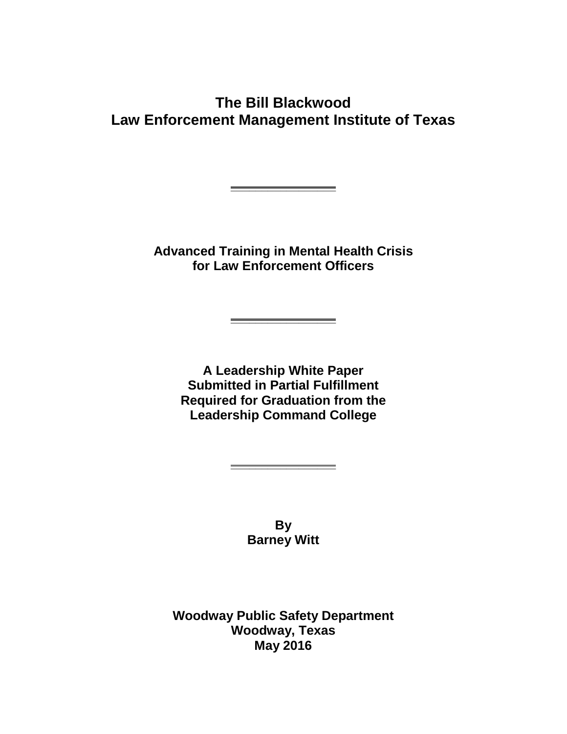## **The Bill Blackwood Law Enforcement Management Institute of Texas**

**Advanced Training in Mental Health Crisis for Law Enforcement Officers**

**\_\_\_\_\_\_\_\_\_\_\_\_\_\_\_\_\_**

**\_\_\_\_\_\_\_\_\_\_\_\_\_\_\_\_\_**

**A Leadership White Paper Submitted in Partial Fulfillment Required for Graduation from the Leadership Command College**

> **By Barney Witt**

**\_\_\_\_\_\_\_\_\_\_\_\_\_\_\_\_\_**

**Woodway Public Safety Department Woodway, Texas May 2016**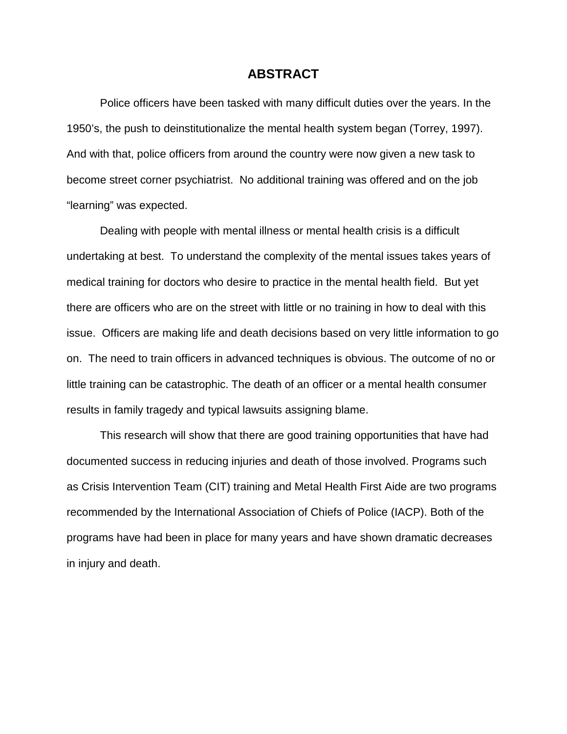#### **ABSTRACT**

Police officers have been tasked with many difficult duties over the years. In the 1950's, the push to deinstitutionalize the mental health system began (Torrey, 1997). And with that, police officers from around the country were now given a new task to become street corner psychiatrist. No additional training was offered and on the job "learning" was expected.

Dealing with people with mental illness or mental health crisis is a difficult undertaking at best. To understand the complexity of the mental issues takes years of medical training for doctors who desire to practice in the mental health field. But yet there are officers who are on the street with little or no training in how to deal with this issue. Officers are making life and death decisions based on very little information to go on. The need to train officers in advanced techniques is obvious. The outcome of no or little training can be catastrophic. The death of an officer or a mental health consumer results in family tragedy and typical lawsuits assigning blame.

This research will show that there are good training opportunities that have had documented success in reducing injuries and death of those involved. Programs such as Crisis Intervention Team (CIT) training and Metal Health First Aide are two programs recommended by the International Association of Chiefs of Police (IACP). Both of the programs have had been in place for many years and have shown dramatic decreases in injury and death.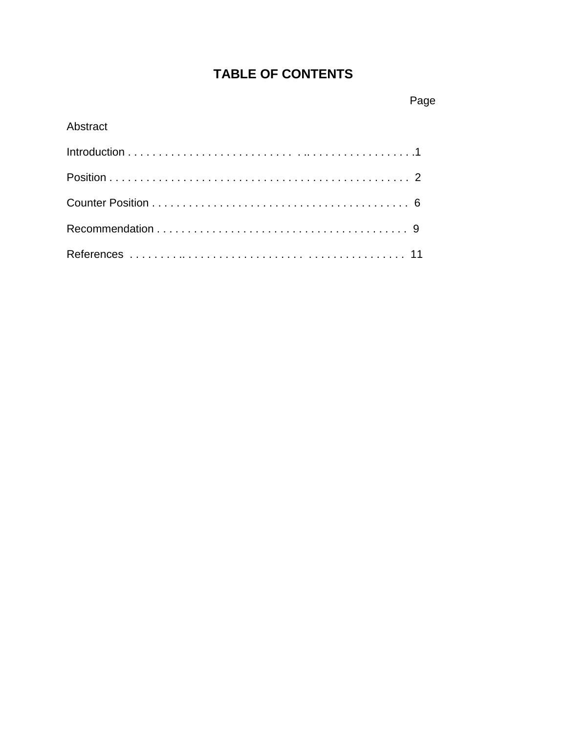# **TABLE OF CONTENTS**

## Abstract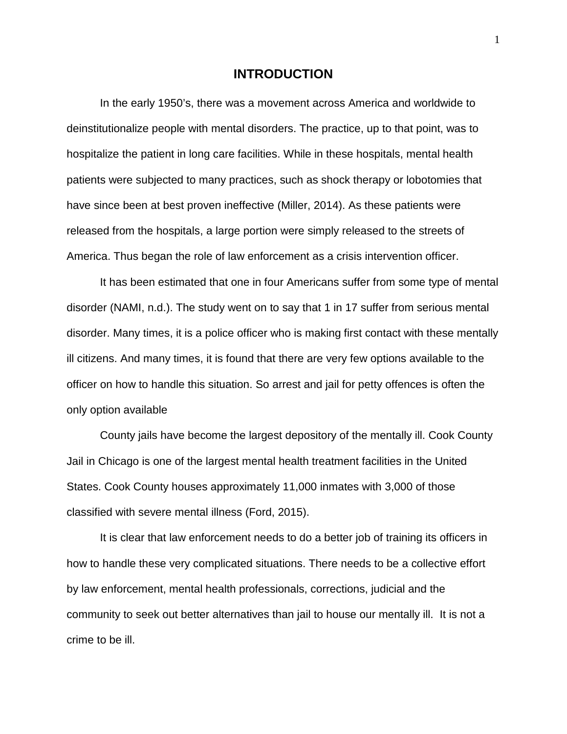#### **INTRODUCTION**

In the early 1950's, there was a movement across America and worldwide to deinstitutionalize people with mental disorders. The practice, up to that point, was to hospitalize the patient in long care facilities. While in these hospitals, mental health patients were subjected to many practices, such as shock therapy or lobotomies that have since been at best proven ineffective (Miller, 2014). As these patients were released from the hospitals, a large portion were simply released to the streets of America. Thus began the role of law enforcement as a crisis intervention officer.

It has been estimated that one in four Americans suffer from some type of mental disorder (NAMI, n.d.). The study went on to say that 1 in 17 suffer from serious mental disorder. Many times, it is a police officer who is making first contact with these mentally ill citizens. And many times, it is found that there are very few options available to the officer on how to handle this situation. So arrest and jail for petty offences is often the only option available

County jails have become the largest depository of the mentally ill. Cook County Jail in Chicago is one of the largest mental health treatment facilities in the United States. Cook County houses approximately 11,000 inmates with 3,000 of those classified with severe mental illness (Ford, 2015).

It is clear that law enforcement needs to do a better job of training its officers in how to handle these very complicated situations. There needs to be a collective effort by law enforcement, mental health professionals, corrections, judicial and the community to seek out better alternatives than jail to house our mentally ill. It is not a crime to be ill.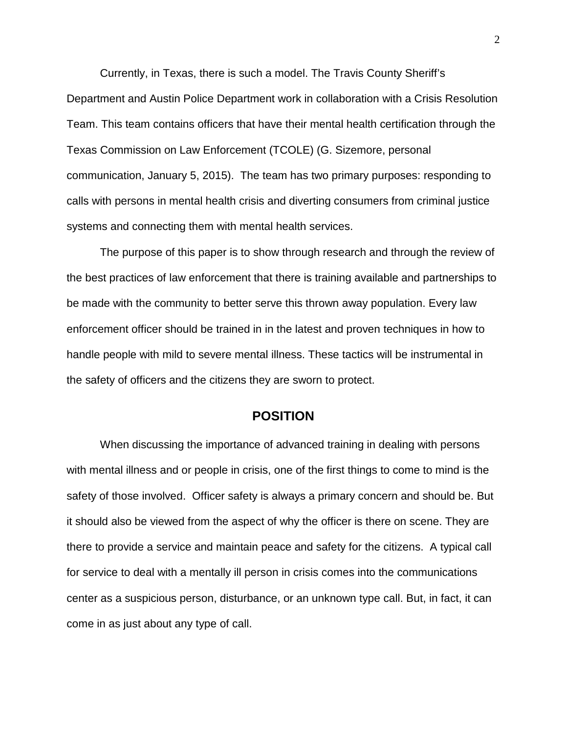Currently, in Texas, there is such a model. The Travis County Sheriff's Department and Austin Police Department work in collaboration with a Crisis Resolution Team. This team contains officers that have their mental health certification through the Texas Commission on Law Enforcement (TCOLE) (G. Sizemore, personal communication, January 5, 2015). The team has two primary purposes: responding to calls with persons in mental health crisis and diverting consumers from criminal justice systems and connecting them with mental health services.

The purpose of this paper is to show through research and through the review of the best practices of law enforcement that there is training available and partnerships to be made with the community to better serve this thrown away population. Every law enforcement officer should be trained in in the latest and proven techniques in how to handle people with mild to severe mental illness. These tactics will be instrumental in the safety of officers and the citizens they are sworn to protect.

### **POSITION**

When discussing the importance of advanced training in dealing with persons with mental illness and or people in crisis, one of the first things to come to mind is the safety of those involved. Officer safety is always a primary concern and should be. But it should also be viewed from the aspect of why the officer is there on scene. They are there to provide a service and maintain peace and safety for the citizens. A typical call for service to deal with a mentally ill person in crisis comes into the communications center as a suspicious person, disturbance, or an unknown type call. But, in fact, it can come in as just about any type of call.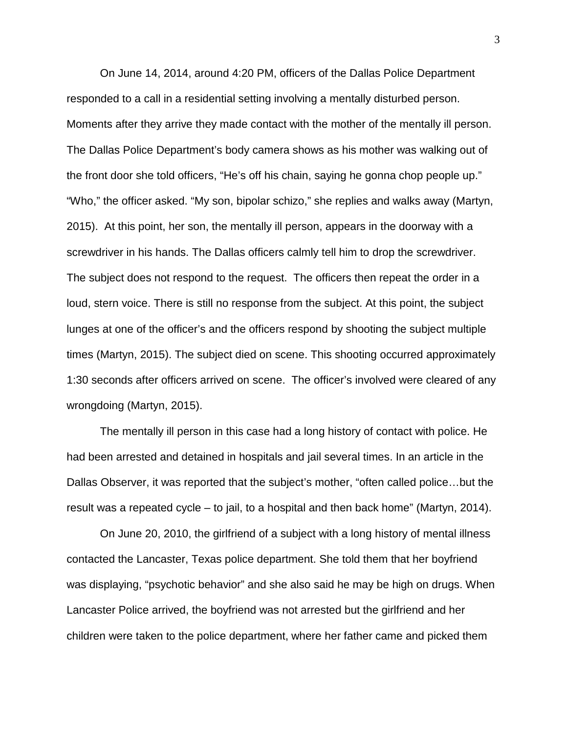On June 14, 2014, around 4:20 PM, officers of the Dallas Police Department responded to a call in a residential setting involving a mentally disturbed person. Moments after they arrive they made contact with the mother of the mentally ill person. The Dallas Police Department's body camera shows as his mother was walking out of the front door she told officers, "He's off his chain, saying he gonna chop people up." "Who," the officer asked. "My son, bipolar schizo," she replies and walks away (Martyn, 2015). At this point, her son, the mentally ill person, appears in the doorway with a screwdriver in his hands. The Dallas officers calmly tell him to drop the screwdriver. The subject does not respond to the request. The officers then repeat the order in a loud, stern voice. There is still no response from the subject. At this point, the subject lunges at one of the officer's and the officers respond by shooting the subject multiple times (Martyn, 2015). The subject died on scene. This shooting occurred approximately 1:30 seconds after officers arrived on scene. The officer's involved were cleared of any wrongdoing (Martyn, 2015).

The mentally ill person in this case had a long history of contact with police. He had been arrested and detained in hospitals and jail several times. In an article in the Dallas Observer, it was reported that the subject's mother, "often called police…but the result was a repeated cycle – to jail, to a hospital and then back home" (Martyn, 2014).

On June 20, 2010, the girlfriend of a subject with a long history of mental illness contacted the Lancaster, Texas police department. She told them that her boyfriend was displaying, "psychotic behavior" and she also said he may be high on drugs. When Lancaster Police arrived, the boyfriend was not arrested but the girlfriend and her children were taken to the police department, where her father came and picked them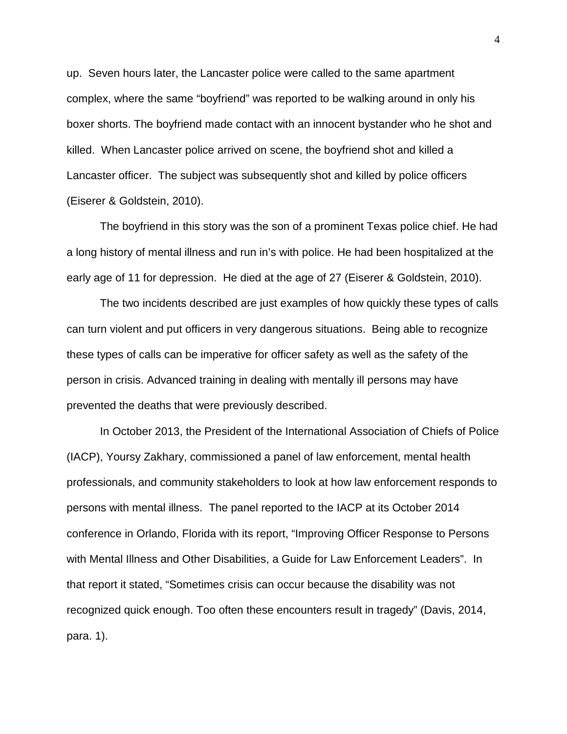up. Seven hours later, the Lancaster police were called to the same apartment complex, where the same "boyfriend" was reported to be walking around in only his boxer shorts. The boyfriend made contact with an innocent bystander who he shot and killed. When Lancaster police arrived on scene, the boyfriend shot and killed a Lancaster officer. The subject was subsequently shot and killed by police officers (Eiserer & Goldstein, 2010).

The boyfriend in this story was the son of a prominent Texas police chief. He had a long history of mental illness and run in's with police. He had been hospitalized at the early age of 11 for depression. He died at the age of 27 (Eiserer & Goldstein, 2010).

The two incidents described are just examples of how quickly these types of calls can turn violent and put officers in very dangerous situations. Being able to recognize these types of calls can be imperative for officer safety as well as the safety of the person in crisis. Advanced training in dealing with mentally ill persons may have prevented the deaths that were previously described.

In October 2013, the President of the International Association of Chiefs of Police (IACP), Yoursy Zakhary, commissioned a panel of law enforcement, mental health professionals, and community stakeholders to look at how law enforcement responds to persons with mental illness. The panel reported to the IACP at its October 2014 conference in Orlando, Florida with its report, "Improving Officer Response to Persons with Mental Illness and Other Disabilities, a Guide for Law Enforcement Leaders". In that report it stated, "Sometimes crisis can occur because the disability was not recognized quick enough. Too often these encounters result in tragedy" (Davis, 2014, para. 1).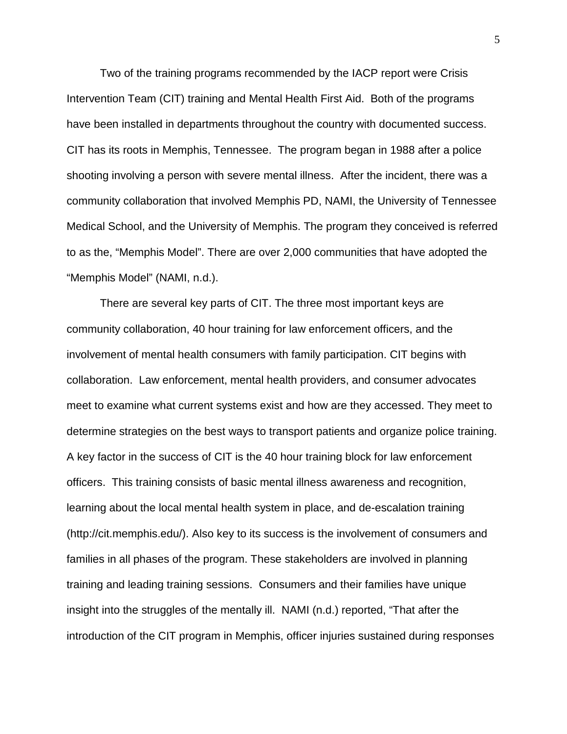Two of the training programs recommended by the IACP report were Crisis Intervention Team (CIT) training and Mental Health First Aid. Both of the programs have been installed in departments throughout the country with documented success. CIT has its roots in Memphis, Tennessee. The program began in 1988 after a police shooting involving a person with severe mental illness. After the incident, there was a community collaboration that involved Memphis PD, NAMI, the University of Tennessee Medical School, and the University of Memphis. The program they conceived is referred to as the, "Memphis Model". There are over 2,000 communities that have adopted the "Memphis Model" (NAMI, n.d.).

There are several key parts of CIT. The three most important keys are community collaboration, 40 hour training for law enforcement officers, and the involvement of mental health consumers with family participation. CIT begins with collaboration. Law enforcement, mental health providers, and consumer advocates meet to examine what current systems exist and how are they accessed. They meet to determine strategies on the best ways to transport patients and organize police training. A key factor in the success of CIT is the 40 hour training block for law enforcement officers. This training consists of basic mental illness awareness and recognition, learning about the local mental health system in place, and de-escalation training (http://cit.memphis.edu/). Also key to its success is the involvement of consumers and families in all phases of the program. These stakeholders are involved in planning training and leading training sessions. Consumers and their families have unique insight into the struggles of the mentally ill. NAMI (n.d.) reported, "That after the introduction of the CIT program in Memphis, officer injuries sustained during responses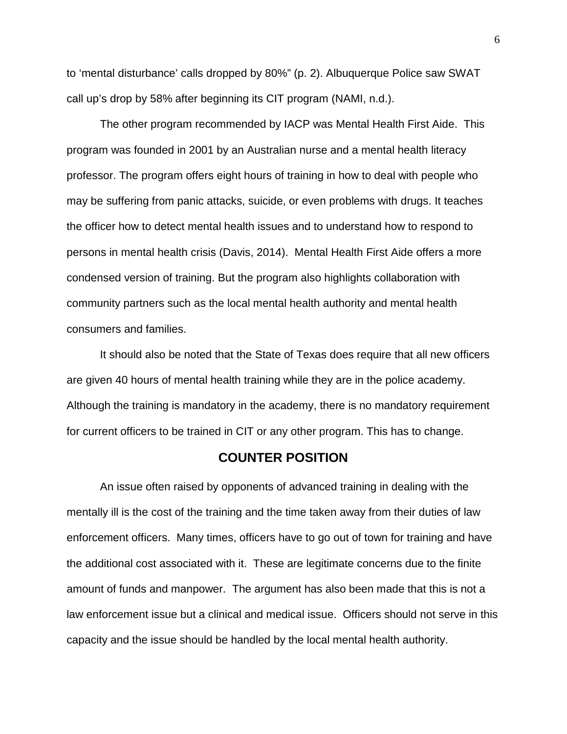to 'mental disturbance' calls dropped by 80%" (p. 2). Albuquerque Police saw SWAT call up's drop by 58% after beginning its CIT program (NAMI, n.d.).

The other program recommended by IACP was Mental Health First Aide. This program was founded in 2001 by an Australian nurse and a mental health literacy professor. The program offers eight hours of training in how to deal with people who may be suffering from panic attacks, suicide, or even problems with drugs. It teaches the officer how to detect mental health issues and to understand how to respond to persons in mental health crisis (Davis, 2014). Mental Health First Aide offers a more condensed version of training. But the program also highlights collaboration with community partners such as the local mental health authority and mental health consumers and families.

It should also be noted that the State of Texas does require that all new officers are given 40 hours of mental health training while they are in the police academy. Although the training is mandatory in the academy, there is no mandatory requirement for current officers to be trained in CIT or any other program. This has to change.

#### **COUNTER POSITION**

An issue often raised by opponents of advanced training in dealing with the mentally ill is the cost of the training and the time taken away from their duties of law enforcement officers. Many times, officers have to go out of town for training and have the additional cost associated with it. These are legitimate concerns due to the finite amount of funds and manpower. The argument has also been made that this is not a law enforcement issue but a clinical and medical issue. Officers should not serve in this capacity and the issue should be handled by the local mental health authority.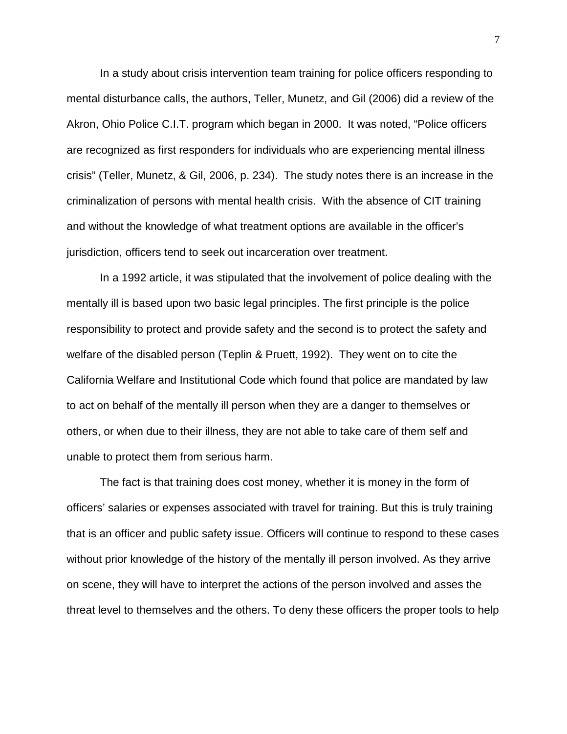In a study about crisis intervention team training for police officers responding to mental disturbance calls, the authors, Teller, Munetz, and Gil (2006) did a review of the Akron, Ohio Police C.I.T. program which began in 2000. It was noted, "Police officers are recognized as first responders for individuals who are experiencing mental illness crisis" (Teller, Munetz, & Gil, 2006, p. 234). The study notes there is an increase in the criminalization of persons with mental health crisis. With the absence of CIT training and without the knowledge of what treatment options are available in the officer's jurisdiction, officers tend to seek out incarceration over treatment.

In a 1992 article, it was stipulated that the involvement of police dealing with the mentally ill is based upon two basic legal principles. The first principle is the police responsibility to protect and provide safety and the second is to protect the safety and welfare of the disabled person (Teplin & Pruett, 1992). They went on to cite the California Welfare and Institutional Code which found that police are mandated by law to act on behalf of the mentally ill person when they are a danger to themselves or others, or when due to their illness, they are not able to take care of them self and unable to protect them from serious harm.

The fact is that training does cost money, whether it is money in the form of officers' salaries or expenses associated with travel for training. But this is truly training that is an officer and public safety issue. Officers will continue to respond to these cases without prior knowledge of the history of the mentally ill person involved. As they arrive on scene, they will have to interpret the actions of the person involved and asses the threat level to themselves and the others. To deny these officers the proper tools to help

7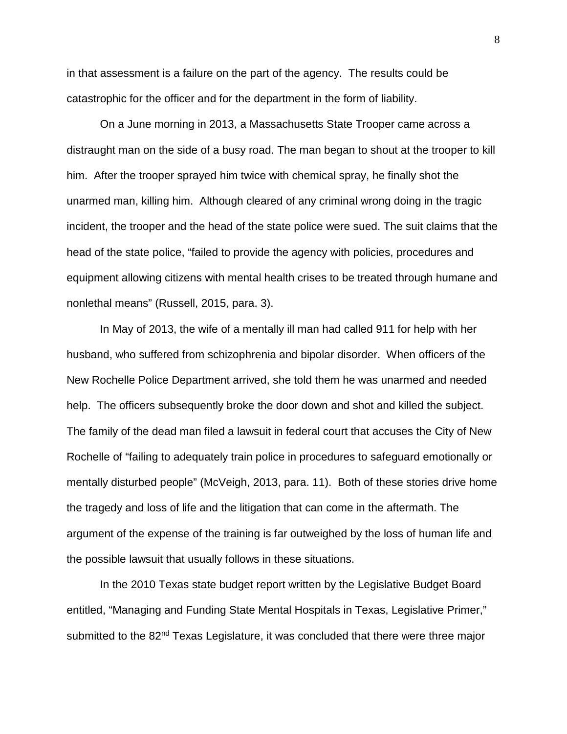in that assessment is a failure on the part of the agency. The results could be catastrophic for the officer and for the department in the form of liability.

On a June morning in 2013, a Massachusetts State Trooper came across a distraught man on the side of a busy road. The man began to shout at the trooper to kill him. After the trooper sprayed him twice with chemical spray, he finally shot the unarmed man, killing him. Although cleared of any criminal wrong doing in the tragic incident, the trooper and the head of the state police were sued. The suit claims that the head of the state police, "failed to provide the agency with policies, procedures and equipment allowing citizens with mental health crises to be treated through humane and nonlethal means" (Russell, 2015, para. 3).

In May of 2013, the wife of a mentally ill man had called 911 for help with her husband, who suffered from schizophrenia and bipolar disorder. When officers of the New Rochelle Police Department arrived, she told them he was unarmed and needed help. The officers subsequently broke the door down and shot and killed the subject. The family of the dead man filed a lawsuit in federal court that accuses the City of New Rochelle of "failing to adequately train police in procedures to safeguard emotionally or mentally disturbed people" (McVeigh, 2013, para. 11). Both of these stories drive home the tragedy and loss of life and the litigation that can come in the aftermath. The argument of the expense of the training is far outweighed by the loss of human life and the possible lawsuit that usually follows in these situations.

In the 2010 Texas state budget report written by the Legislative Budget Board entitled, "Managing and Funding State Mental Hospitals in Texas, Legislative Primer," submitted to the 82<sup>nd</sup> Texas Legislature, it was concluded that there were three major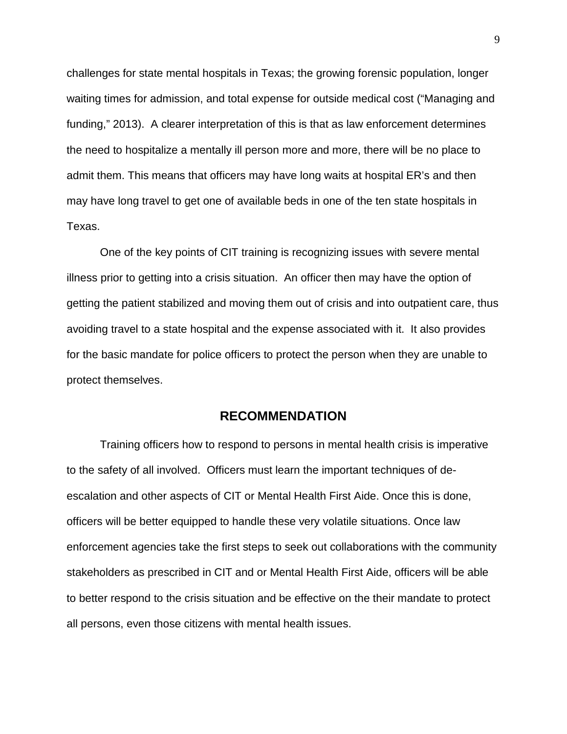challenges for state mental hospitals in Texas; the growing forensic population, longer waiting times for admission, and total expense for outside medical cost ("Managing and funding," 2013). A clearer interpretation of this is that as law enforcement determines the need to hospitalize a mentally ill person more and more, there will be no place to admit them. This means that officers may have long waits at hospital ER's and then may have long travel to get one of available beds in one of the ten state hospitals in Texas.

One of the key points of CIT training is recognizing issues with severe mental illness prior to getting into a crisis situation. An officer then may have the option of getting the patient stabilized and moving them out of crisis and into outpatient care, thus avoiding travel to a state hospital and the expense associated with it. It also provides for the basic mandate for police officers to protect the person when they are unable to protect themselves.

#### **RECOMMENDATION**

Training officers how to respond to persons in mental health crisis is imperative to the safety of all involved. Officers must learn the important techniques of deescalation and other aspects of CIT or Mental Health First Aide. Once this is done, officers will be better equipped to handle these very volatile situations. Once law enforcement agencies take the first steps to seek out collaborations with the community stakeholders as prescribed in CIT and or Mental Health First Aide, officers will be able to better respond to the crisis situation and be effective on the their mandate to protect all persons, even those citizens with mental health issues.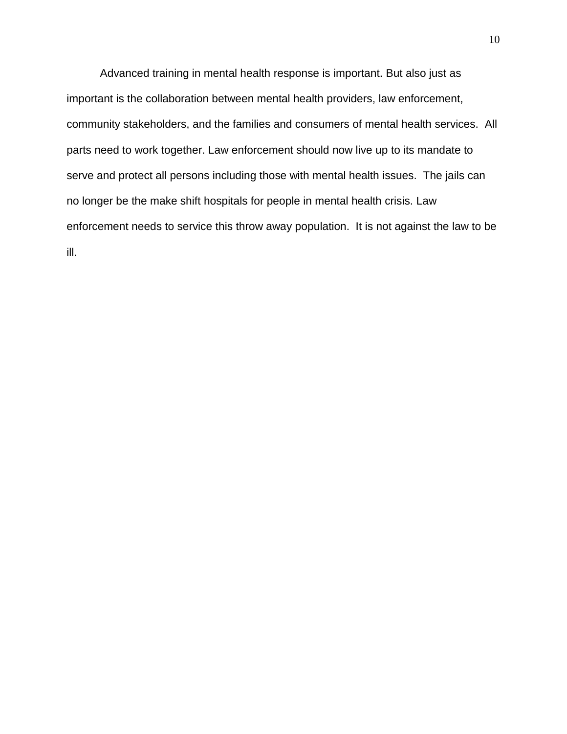Advanced training in mental health response is important. But also just as important is the collaboration between mental health providers, law enforcement, community stakeholders, and the families and consumers of mental health services. All parts need to work together. Law enforcement should now live up to its mandate to serve and protect all persons including those with mental health issues. The jails can no longer be the make shift hospitals for people in mental health crisis. Law enforcement needs to service this throw away population. It is not against the law to be ill.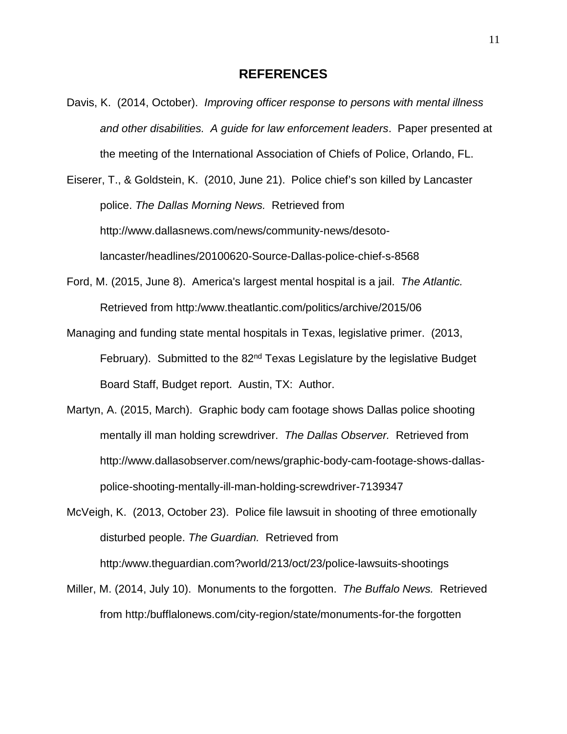#### **REFERENCES**

Davis, K. (2014, October). *Improving officer response to persons with mental illness and other disabilities. A guide for law enforcement leaders*. Paper presented at the meeting of the International Association of Chiefs of Police, Orlando, FL.

Eiserer, T., & Goldstein, K. (2010, June 21). Police chief's son killed by Lancaster police. *The Dallas Morning News.* Retrieved from http://www.dallasnews.com/news/community-news/desotolancaster/headlines/20100620-Source-Dallas-police-chief-s-8568

- Ford, M. (2015, June 8). America's largest mental hospital is a jail. *The Atlantic.*  Retrieved from http:/www.theatlantic.com/politics/archive/2015/06
- Managing and funding state mental hospitals in Texas, legislative primer. (2013, February). Submitted to the 82<sup>nd</sup> Texas Legislature by the legislative Budget Board Staff, Budget report. Austin, TX: Author.
- Martyn, A. (2015, March). Graphic body cam footage shows Dallas police shooting mentally ill man holding screwdriver. *The Dallas Observer.* Retrieved from http://www.dallasobserver.com/news/graphic-body-cam-footage-shows-dallaspolice-shooting-mentally-ill-man-holding-screwdriver-7139347

McVeigh, K. (2013, October 23). Police file lawsuit in shooting of three emotionally disturbed people. *The Guardian.* Retrieved from http:/www.theguardian.com?world/213/oct/23/police-lawsuits-shootings

Miller, M. (2014, July 10). Monuments to the forgotten. *The Buffalo News.* Retrieved from http:/bufflalonews.com/city-region/state/monuments-for-the forgotten